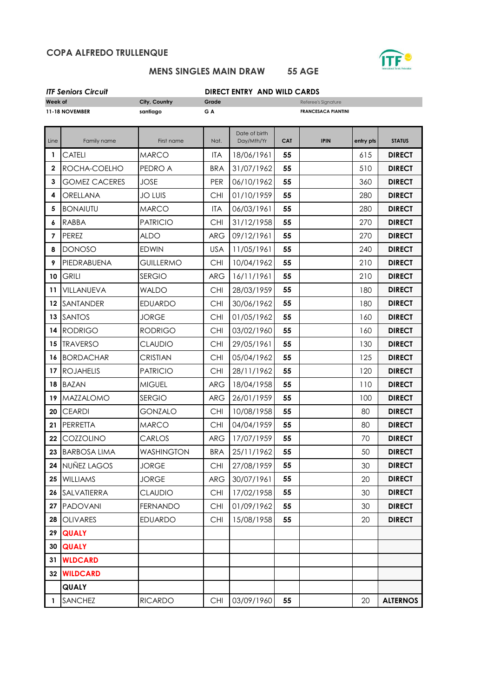## **COPA ALFREDO TRULLENQUE**



## **MENS SINGLES MAIN DRAW 55 AGE**

| <b>ITF Seniors Circuit</b> |  |
|----------------------------|--|
|----------------------------|--|

**DIRECT ENTRY AND WILD CARDS** 

| Week of      |                      | City, Country     | Grade      |               |            | Referee's Signature        |           |                 |
|--------------|----------------------|-------------------|------------|---------------|------------|----------------------------|-----------|-----------------|
|              | 11-18 NOVEMBER       | santiago          | GA         |               |            | <b>FRANCESACA PIANTINI</b> |           |                 |
|              |                      |                   |            | Date of birth |            |                            |           |                 |
| Line         | Family name          | First name        | Nat.       | Day/Mth/Yr    | <b>CAT</b> | <b>IPIN</b>                | entry pts | <b>STATUS</b>   |
| 1            | <b>CATELI</b>        | <b>MARCO</b>      | <b>ITA</b> | 18/06/1961    | 55         |                            | 615       | <b>DIRECT</b>   |
| $\mathbf 2$  | ROCHA-COELHO         | PEDRO A           | <b>BRA</b> | 31/07/1962    | 55         |                            | 510       | <b>DIRECT</b>   |
| $\mathbf{3}$ | <b>GOMEZ CACERES</b> | <b>JOSE</b>       | PER        | 06/10/1962    | 55         |                            | 360       | <b>DIRECT</b>   |
| 4            | ORELLANA             | <b>JO LUIS</b>    | <b>CHI</b> | 01/10/1959    | 55         |                            | 280       | <b>DIRECT</b>   |
| 5            | <b>BONAIUTU</b>      | <b>MARCO</b>      | <b>ITA</b> | 06/03/1961    | 55         |                            | 280       | <b>DIRECT</b>   |
| 6            | <b>RABBA</b>         | <b>PATRICIO</b>   | <b>CHI</b> | 31/12/1958    | 55         |                            | 270       | <b>DIRECT</b>   |
| 7            | <b>PEREZ</b>         | <b>ALDO</b>       | <b>ARG</b> | 09/12/1961    | 55         |                            | 270       | <b>DIRECT</b>   |
| 8            | <b>DONOSO</b>        | <b>EDWIN</b>      | <b>USA</b> | 11/05/1961    | 55         |                            | 240       | <b>DIRECT</b>   |
| 9            | PIEDRABUENA          | <b>GUILLERMO</b>  | <b>CHI</b> | 10/04/1962    | 55         |                            | 210       | <b>DIRECT</b>   |
| 10           | <b>GRILI</b>         | <b>SERGIO</b>     | <b>ARG</b> | 16/11/1961    | 55         |                            | 210       | <b>DIRECT</b>   |
| 11           | VILLANUEVA           | <b>WALDO</b>      | <b>CHI</b> | 28/03/1959    | 55         |                            | 180       | <b>DIRECT</b>   |
| 12           | SANTANDER            | <b>EDUARDO</b>    | <b>CHI</b> | 30/06/1962    | 55         |                            | 180       | <b>DIRECT</b>   |
| 13           | <b>SANTOS</b>        | <b>JORGE</b>      | <b>CHI</b> | 01/05/1962    | 55         |                            | 160       | <b>DIRECT</b>   |
| 14           | <b>RODRIGO</b>       | <b>RODRIGO</b>    | <b>CHI</b> | 03/02/1960    | 55         |                            | 160       | <b>DIRECT</b>   |
| 15           | <b>TRAVERSO</b>      | <b>CLAUDIO</b>    | <b>CHI</b> | 29/05/1961    | 55         |                            | 130       | <b>DIRECT</b>   |
| 16           | <b>BORDACHAR</b>     | CRISTIAN          | <b>CHI</b> | 05/04/1962    | 55         |                            | 125       | <b>DIRECT</b>   |
| 17           | <b>ROJAHELIS</b>     | <b>PATRICIO</b>   | <b>CHI</b> | 28/11/1962    | 55         |                            | 120       | <b>DIRECT</b>   |
| 18           | <b>BAZAN</b>         | <b>MIGUEL</b>     | <b>ARG</b> | 18/04/1958    | 55         |                            | 110       | <b>DIRECT</b>   |
| 19           | <b>MAZZALOMO</b>     | <b>SERGIO</b>     | <b>ARG</b> | 26/01/1959    | 55         |                            | 100       | <b>DIRECT</b>   |
| 20           | <b>CEARDI</b>        | <b>GONZALO</b>    | <b>CHI</b> | 10/08/1958    | 55         |                            | 80        | <b>DIRECT</b>   |
| 21           | PERRETTA             | <b>MARCO</b>      | <b>CHI</b> | 04/04/1959    | 55         |                            | 80        | <b>DIRECT</b>   |
| 22           | COZZOLINO            | CARLOS            | <b>ARG</b> | 17/07/1959    | 55         |                            | 70        | <b>DIRECT</b>   |
| 23           | <b>BARBOSA LIMA</b>  | <b>WASHINGTON</b> | <b>BRA</b> | 25/11/1962    | 55         |                            | 50        | <b>DIRECT</b>   |
| 24           | <b>NUÑEZ LAGOS</b>   | <b>JORGE</b>      | <b>CHI</b> | 27/08/1959    | 55         |                            | 30        | <b>DIRECT</b>   |
| 25           | <b>WILLIAMS</b>      | <b>JORGE</b>      | <b>ARG</b> | 30/07/1961    | 55         |                            | 20        | <b>DIRECT</b>   |
| 26           | SALVATIERRA          | <b>CLAUDIO</b>    | CHI        | 17/02/1958    | 55         |                            | 30        | <b>DIRECT</b>   |
| 27           | <b>PADOVANI</b>      | <b>FERNANDO</b>   | <b>CHI</b> | 01/09/1962    | 55         |                            | 30        | <b>DIRECT</b>   |
| 28           | <b>OLIVARES</b>      | <b>EDUARDO</b>    | <b>CHI</b> | 15/08/1958    | 55         |                            | 20        | <b>DIRECT</b>   |
| 29           | <b>QUALY</b>         |                   |            |               |            |                            |           |                 |
| 30           | <b>QUALY</b>         |                   |            |               |            |                            |           |                 |
| 31           | <b>WLDCARD</b>       |                   |            |               |            |                            |           |                 |
| 32           | <b>WILDCARD</b>      |                   |            |               |            |                            |           |                 |
|              | <b>QUALY</b>         |                   |            |               |            |                            |           |                 |
| $\mathbf{1}$ | <b>SANCHEZ</b>       | <b>RICARDO</b>    | CHI        | 03/09/1960    | 55         |                            | 20        | <b>ALTERNOS</b> |